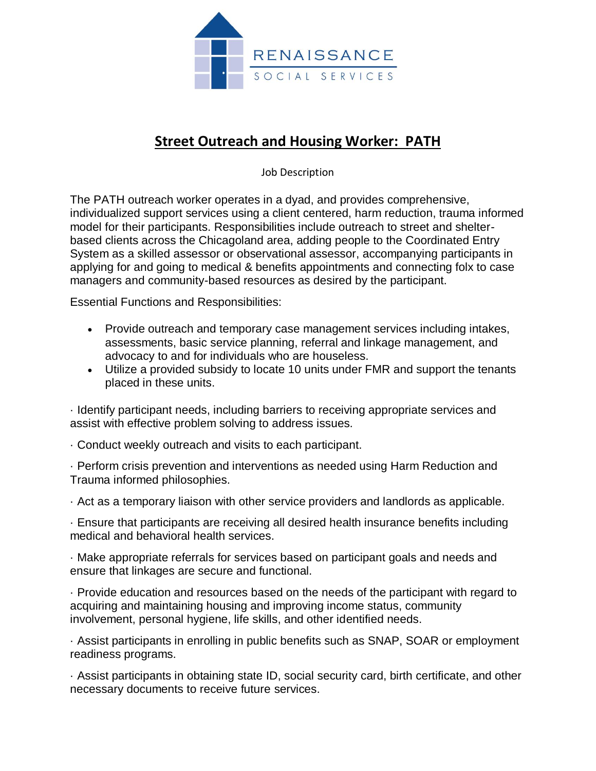

# **Street Outreach and Housing Worker: PATH**

Job Description

The PATH outreach worker operates in a dyad, and provides comprehensive, individualized support services using a client centered, harm reduction, trauma informed model for their participants. Responsibilities include outreach to street and shelterbased clients across the Chicagoland area, adding people to the Coordinated Entry System as a skilled assessor or observational assessor, accompanying participants in applying for and going to medical & benefits appointments and connecting folx to case managers and community-based resources as desired by the participant.

Essential Functions and Responsibilities:

- Provide outreach and temporary case management services including intakes, assessments, basic service planning, referral and linkage management, and advocacy to and for individuals who are houseless.
- Utilize a provided subsidy to locate 10 units under FMR and support the tenants placed in these units.

· Identify participant needs, including barriers to receiving appropriate services and assist with effective problem solving to address issues.

· Conduct weekly outreach and visits to each participant.

· Perform crisis prevention and interventions as needed using Harm Reduction and Trauma informed philosophies.

· Act as a temporary liaison with other service providers and landlords as applicable.

· Ensure that participants are receiving all desired health insurance benefits including medical and behavioral health services.

· Make appropriate referrals for services based on participant goals and needs and ensure that linkages are secure and functional.

· Provide education and resources based on the needs of the participant with regard to acquiring and maintaining housing and improving income status, community involvement, personal hygiene, life skills, and other identified needs.

· Assist participants in enrolling in public benefits such as SNAP, SOAR or employment readiness programs.

· Assist participants in obtaining state ID, social security card, birth certificate, and other necessary documents to receive future services.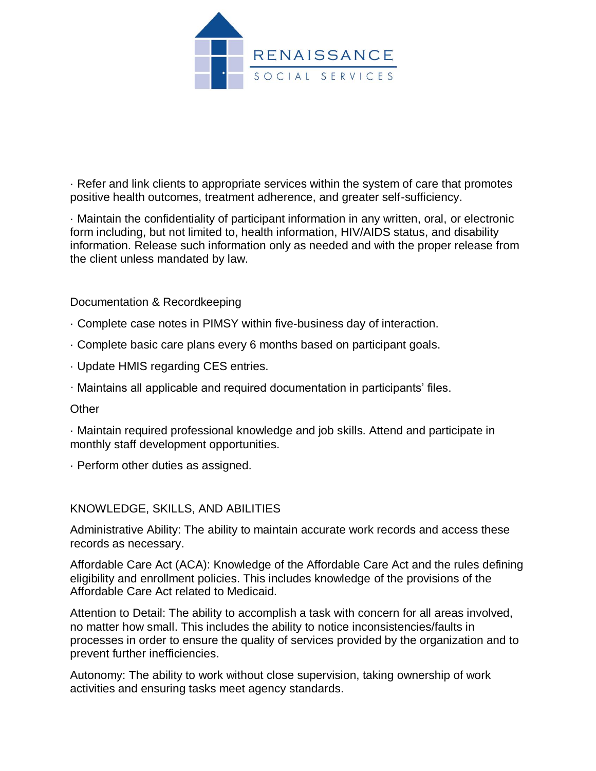

· Refer and link clients to appropriate services within the system of care that promotes positive health outcomes, treatment adherence, and greater self-sufficiency.

· Maintain the confidentiality of participant information in any written, oral, or electronic form including, but not limited to, health information, HIV/AIDS status, and disability information. Release such information only as needed and with the proper release from the client unless mandated by law.

Documentation & Recordkeeping

- · Complete case notes in PIMSY within five-business day of interaction.
- · Complete basic care plans every 6 months based on participant goals.
- · Update HMIS regarding CES entries.
- · Maintains all applicable and required documentation in participants' files.

#### Other

· Maintain required professional knowledge and job skills. Attend and participate in monthly staff development opportunities.

· Perform other duties as assigned.

#### KNOWLEDGE, SKILLS, AND ABILITIES

Administrative Ability: The ability to maintain accurate work records and access these records as necessary.

Affordable Care Act (ACA): Knowledge of the Affordable Care Act and the rules defining eligibility and enrollment policies. This includes knowledge of the provisions of the Affordable Care Act related to Medicaid.

Attention to Detail: The ability to accomplish a task with concern for all areas involved, no matter how small. This includes the ability to notice inconsistencies/faults in processes in order to ensure the quality of services provided by the organization and to prevent further inefficiencies.

Autonomy: The ability to work without close supervision, taking ownership of work activities and ensuring tasks meet agency standards.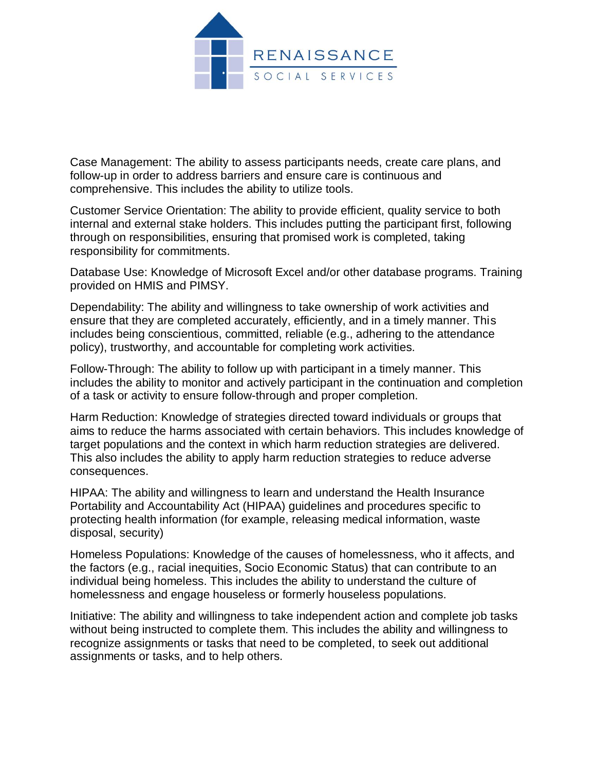

Case Management: The ability to assess participants needs, create care plans, and follow-up in order to address barriers and ensure care is continuous and comprehensive. This includes the ability to utilize tools.

Customer Service Orientation: The ability to provide efficient, quality service to both internal and external stake holders. This includes putting the participant first, following through on responsibilities, ensuring that promised work is completed, taking responsibility for commitments.

Database Use: Knowledge of Microsoft Excel and/or other database programs. Training provided on HMIS and PIMSY.

Dependability: The ability and willingness to take ownership of work activities and ensure that they are completed accurately, efficiently, and in a timely manner. This includes being conscientious, committed, reliable (e.g., adhering to the attendance policy), trustworthy, and accountable for completing work activities.

Follow-Through: The ability to follow up with participant in a timely manner. This includes the ability to monitor and actively participant in the continuation and completion of a task or activity to ensure follow-through and proper completion.

Harm Reduction: Knowledge of strategies directed toward individuals or groups that aims to reduce the harms associated with certain behaviors. This includes knowledge of target populations and the context in which harm reduction strategies are delivered. This also includes the ability to apply harm reduction strategies to reduce adverse consequences.

HIPAA: The ability and willingness to learn and understand the Health Insurance Portability and Accountability Act (HIPAA) guidelines and procedures specific to protecting health information (for example, releasing medical information, waste disposal, security)

Homeless Populations: Knowledge of the causes of homelessness, who it affects, and the factors (e.g., racial inequities, Socio Economic Status) that can contribute to an individual being homeless. This includes the ability to understand the culture of homelessness and engage houseless or formerly houseless populations.

Initiative: The ability and willingness to take independent action and complete job tasks without being instructed to complete them. This includes the ability and willingness to recognize assignments or tasks that need to be completed, to seek out additional assignments or tasks, and to help others.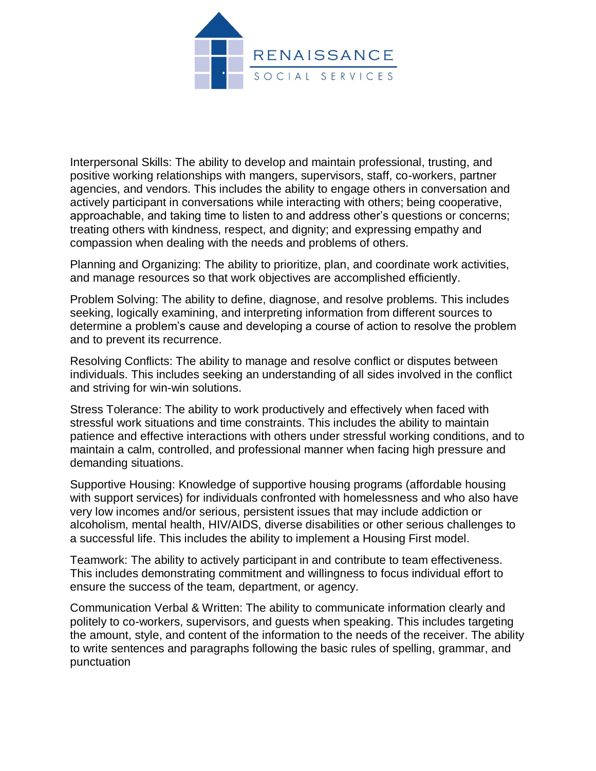

Interpersonal Skills: The ability to develop and maintain professional, trusting, and positive working relationships with mangers, supervisors, staff, co-workers, partner agencies, and vendors. This includes the ability to engage others in conversation and actively participant in conversations while interacting with others; being cooperative, approachable, and taking time to listen to and address other's questions or concerns; treating others with kindness, respect, and dignity; and expressing empathy and compassion when dealing with the needs and problems of others.

Planning and Organizing: The ability to prioritize, plan, and coordinate work activities, and manage resources so that work objectives are accomplished efficiently.

Problem Solving: The ability to define, diagnose, and resolve problems. This includes seeking, logically examining, and interpreting information from different sources to determine a problem's cause and developing a course of action to resolve the problem and to prevent its recurrence.

Resolving Conflicts: The ability to manage and resolve conflict or disputes between individuals. This includes seeking an understanding of all sides involved in the conflict and striving for win-win solutions.

Stress Tolerance: The ability to work productively and effectively when faced with stressful work situations and time constraints. This includes the ability to maintain patience and effective interactions with others under stressful working conditions, and to maintain a calm, controlled, and professional manner when facing high pressure and demanding situations.

Supportive Housing: Knowledge of supportive housing programs (affordable housing with support services) for individuals confronted with homelessness and who also have very low incomes and/or serious, persistent issues that may include addiction or alcoholism, mental health, HIV/AIDS, diverse disabilities or other serious challenges to a successful life. This includes the ability to implement a Housing First model.

Teamwork: The ability to actively participant in and contribute to team effectiveness. This includes demonstrating commitment and willingness to focus individual effort to ensure the success of the team, department, or agency.

Communication Verbal & Written: The ability to communicate information clearly and politely to co-workers, supervisors, and guests when speaking. This includes targeting the amount, style, and content of the information to the needs of the receiver. The ability to write sentences and paragraphs following the basic rules of spelling, grammar, and punctuation